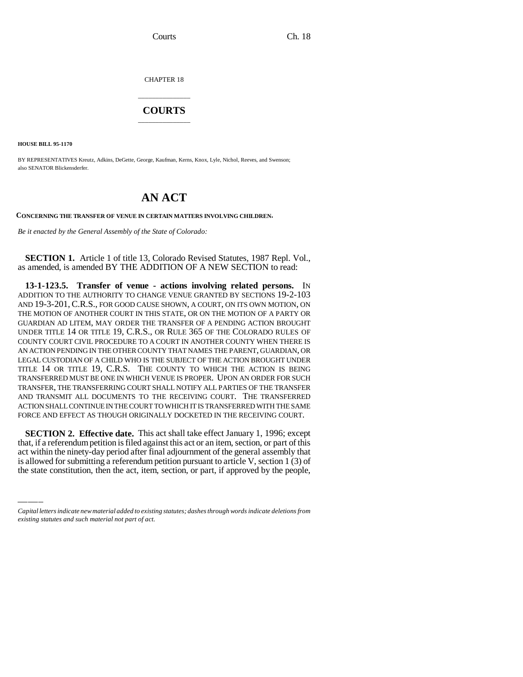Courts Ch. 18

CHAPTER 18

## \_\_\_\_\_\_\_\_\_\_\_\_\_\_\_ **COURTS** \_\_\_\_\_\_\_\_\_\_\_\_\_\_\_

**HOUSE BILL 95-1170**

BY REPRESENTATIVES Kreutz, Adkins, DeGette, George, Kaufman, Kerns, Knox, Lyle, Nichol, Reeves, and Swenson; also SENATOR Blickensderfer.

## **AN ACT**

**CONCERNING THE TRANSFER OF VENUE IN CERTAIN MATTERS INVOLVING CHILDREN.**

*Be it enacted by the General Assembly of the State of Colorado:*

**SECTION 1.** Article 1 of title 13, Colorado Revised Statutes, 1987 Repl. Vol., as amended, is amended BY THE ADDITION OF A NEW SECTION to read:

**13-1-123.5. Transfer of venue - actions involving related persons.** IN ADDITION TO THE AUTHORITY TO CHANGE VENUE GRANTED BY SECTIONS 19-2-103 AND 19-3-201, C.R.S., FOR GOOD CAUSE SHOWN, A COURT, ON ITS OWN MOTION, ON THE MOTION OF ANOTHER COURT IN THIS STATE, OR ON THE MOTION OF A PARTY OR GUARDIAN AD LITEM, MAY ORDER THE TRANSFER OF A PENDING ACTION BROUGHT UNDER TITLE 14 OR TITLE 19, C.R.S., OR RULE 365 OF THE COLORADO RULES OF COUNTY COURT CIVIL PROCEDURE TO A COURT IN ANOTHER COUNTY WHEN THERE IS AN ACTION PENDING IN THE OTHER COUNTY THAT NAMES THE PARENT, GUARDIAN, OR LEGAL CUSTODIAN OF A CHILD WHO IS THE SUBJECT OF THE ACTION BROUGHT UNDER TITLE 14 OR TITLE 19, C.R.S. THE COUNTY TO WHICH THE ACTION IS BEING TRANSFERRED MUST BE ONE IN WHICH VENUE IS PROPER. UPON AN ORDER FOR SUCH TRANSFER, THE TRANSFERRING COURT SHALL NOTIFY ALL PARTIES OF THE TRANSFER AND TRANSMIT ALL DOCUMENTS TO THE RECEIVING COURT. THE TRANSFERRED ACTION SHALL CONTINUE IN THE COURT TO WHICH IT IS TRANSFERRED WITH THE SAME FORCE AND EFFECT AS THOUGH ORIGINALLY DOCKETED IN THE RECEIVING COURT.

SECTION 2. Effective date, This act shall take effect failually 1, 1990, except<br>that, if a referendum petition is filed against this act or an item, section, or part of this **SECTION 2. Effective date.** This act shall take effect January 1, 1996; except act within the ninety-day period after final adjournment of the general assembly that is allowed for submitting a referendum petition pursuant to article V, section 1 (3) of the state constitution, then the act, item, section, or part, if approved by the people,

*Capital letters indicate new material added to existing statutes; dashes through words indicate deletions from existing statutes and such material not part of act.*